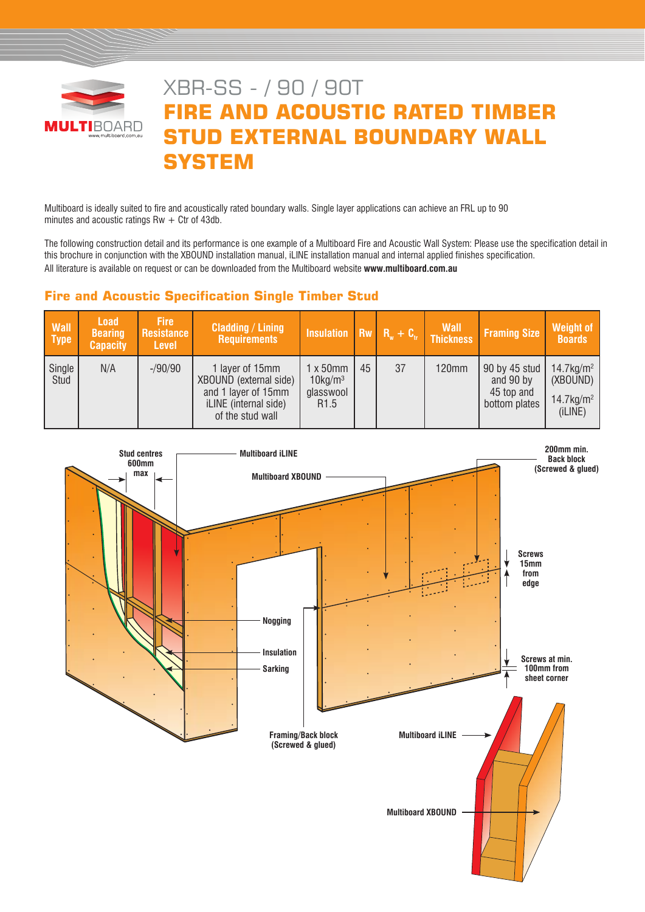

# XBR-SS - / 90 / 90T **FIRE AND ACOUSTIC RATED TIMBER STUD EXTERNAL BOUNDARY WALL SYSTEM**

Multiboard is ideally suited to fire and acoustically rated boundary walls. Single layer applications can achieve an FRL up to 90 minutes and acoustic ratings Rw  $+$  Ctr of 43db.

The following construction detail and its performance is one example of a Multiboard Fire and Acoustic Wall System: Please use the specification detail in this brochure in conjunction with the XBOUND installation manual, iLINE installation manual and internal applied finishes specification. All literature is available on request or can be downloaded from the Multiboard website **www.multiboard.com.au**

# **Fire and Acoustic Specification Single Timber Stud**

| <b>Wall</b><br>Type | <b>Load</b><br><b>Bearing</b><br><b>Capacity</b> | <b>Fire</b><br>Resistance<br><b>Level</b> | <b>Cladding / Lining</b><br><b>Requirements</b>                                                               | Insulation $R_w + C_v$ Thickness                                            |    |    | Wall         | <b>Framing Size</b>                                       | <b>Weight of</b><br><b>Boards</b>                                           |
|---------------------|--------------------------------------------------|-------------------------------------------|---------------------------------------------------------------------------------------------------------------|-----------------------------------------------------------------------------|----|----|--------------|-----------------------------------------------------------|-----------------------------------------------------------------------------|
| Single<br>Stud      | N/A                                              | $-$ /90/90                                | 1 layer of 15mm<br>XBOUND (external side)<br>and 1 layer of 15mm<br>iLINE (internal side)<br>of the stud wall | $1 \times 50$ mm<br>$10$ kg/m <sup>3</sup><br>glasswool<br>R <sub>1.5</sub> | 45 | 37 | <b>120mm</b> | 90 by 45 stud<br>and 90 by<br>45 top and<br>bottom plates | $14.7$ kg/m <sup>2</sup><br>(XBOUND)<br>$14.7$ kg/m <sup>2</sup><br>(iLINE) |